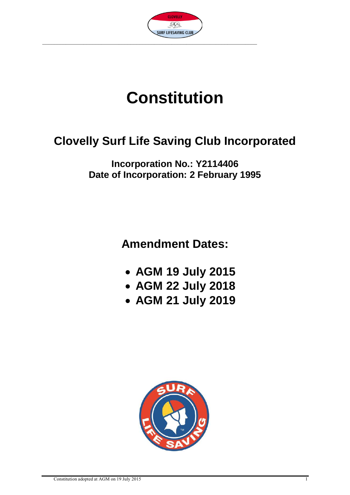

# **Constitution**

# **Clovelly Surf Life Saving Club Incorporated**

**Incorporation No.: Y2114406 Date of Incorporation: 2 February 1995**

**Amendment Dates:**

- **AGM 19 July 2015**
- **AGM 22 July 2018**
- **AGM 21 July 2019**

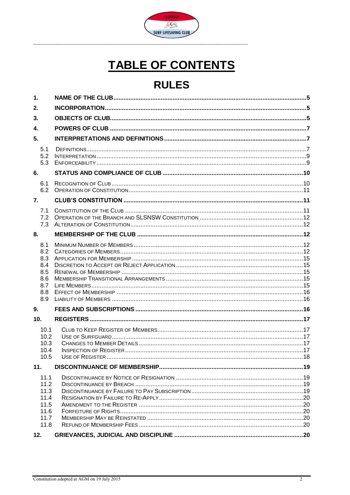

# **TABLE OF CONTENTS**

# **RULES**

| 1.                                                           |  |
|--------------------------------------------------------------|--|
| 2.                                                           |  |
| 3.                                                           |  |
| 4.                                                           |  |
| 5.                                                           |  |
| 5.1<br>5.2                                                   |  |
| 5.3                                                          |  |
| 6.                                                           |  |
| 6.1<br>6.2                                                   |  |
| 7.                                                           |  |
| 7.1<br>7.2<br>7.3                                            |  |
| 8.                                                           |  |
| 8.1<br>8.2<br>8.3<br>8.4<br>8.5<br>8.6<br>8.7<br>8.8<br>8.9  |  |
| 9.                                                           |  |
| 10.                                                          |  |
| 10.1<br>10.2<br>10.3<br>10.4<br>10.5                         |  |
| 11.                                                          |  |
| 11.1<br>11.2<br>11.3<br>11.4<br>11.5<br>11.6<br>11.7<br>11.8 |  |
| 12.                                                          |  |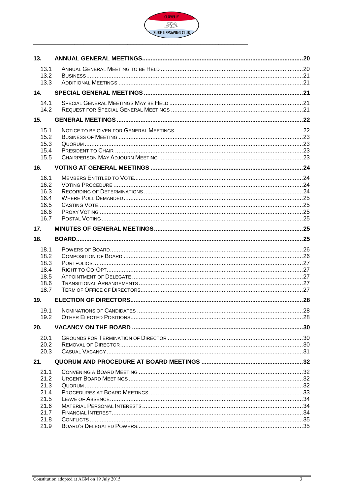

| 13.          |  |
|--------------|--|
| 13.1         |  |
| 13.2<br>13.3 |  |
| 14.          |  |
| 14.1         |  |
| 14.2         |  |
| 15.          |  |
| 15.1         |  |
| 15.2<br>15.3 |  |
| 15.4         |  |
| 15.5         |  |
| 16.          |  |
| 16.1         |  |
| 16.2<br>16.3 |  |
| 16.4         |  |
| 16.5         |  |
| 16.6<br>16.7 |  |
|              |  |
| 17.          |  |
| 18.          |  |
| 18.1         |  |
| 18.2<br>18.3 |  |
| 18.4         |  |
| 18.5         |  |
| 18.6<br>18.7 |  |
| 19.          |  |
| 19.1         |  |
| 19.2         |  |
| 20.          |  |
| 20.1         |  |
| 20.2         |  |
| 20.3         |  |
| 21.          |  |
| 21.1         |  |
| 21.2<br>21.3 |  |
| 21.4         |  |
| 21.5         |  |
| 21.6<br>21.7 |  |
| 21.8         |  |
| 21.9         |  |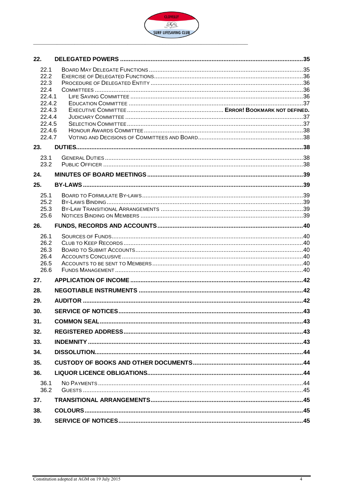

| 22.              |  |
|------------------|--|
| 22.1             |  |
| 22.2             |  |
| 22.3             |  |
| 22.4<br>2241     |  |
| 22.4.2           |  |
| 22.4.3           |  |
| 22.4.4           |  |
| 22.4.5           |  |
| 22.4.6<br>22.4.7 |  |
|                  |  |
| 23.              |  |
| 23.1<br>23.2     |  |
|                  |  |
| 24.              |  |
| 25.              |  |
| 25.1             |  |
| 25.2<br>25.3     |  |
| 25.6             |  |
| 26.              |  |
| 26.1             |  |
| 26.2             |  |
| 26.3<br>26.4     |  |
| 26.5             |  |
| 26.6             |  |
| 27.              |  |
| 28.              |  |
| 29.              |  |
| 30.              |  |
| 31.              |  |
| 32.              |  |
| 33.              |  |
| 34.              |  |
| 35.              |  |
| 36.              |  |
| 36.1             |  |
| 36.2             |  |
| 37.              |  |
| 38.              |  |
| 39.              |  |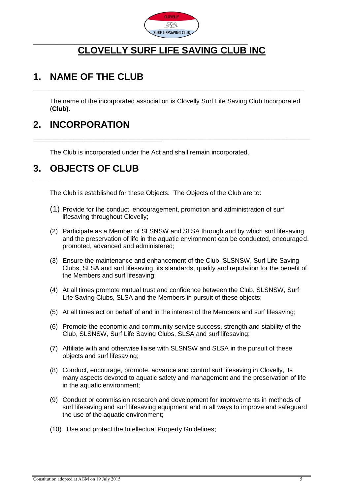

# **CLOVELLY SURF LIFE SAVING CLUB INC**

### <span id="page-4-0"></span>**1. NAME OF THE CLUB**

The name of the incorporated association is Clovelly Surf Life Saving Club Incorporated (**Club).**

\_\_\_\_\_\_\_\_\_\_\_\_\_\_\_\_\_\_\_\_\_\_\_\_\_\_\_\_\_\_\_\_\_\_\_\_\_\_\_\_\_\_\_\_\_\_\_\_\_\_\_\_\_\_\_\_\_\_\_\_\_\_\_\_\_\_\_\_\_\_\_\_\_\_\_\_\_\_\_\_\_\_\_\_\_\_\_\_\_\_\_\_\_\_\_\_\_\_\_\_\_\_\_\_\_\_\_\_\_\_\_\_\_\_\_\_\_\_\_\_\_\_\_\_\_\_\_\_\_\_\_\_\_\_\_\_\_\_\_\_\_\_\_\_\_\_\_\_\_\_\_\_\_\_\_\_\_\_\_\_\_\_\_\_\_\_\_\_\_\_\_\_\_\_\_\_\_\_\_\_\_\_\_\_\_\_\_\_\_\_\_\_\_\_\_\_\_\_\_\_\_\_\_\_\_\_\_\_\_\_\_\_\_\_\_\_\_\_\_\_\_\_\_\_\_\_\_\_\_\_\_\_\_\_\_\_\_\_\_\_\_\_\_\_\_\_\_\_\_\_\_\_\_\_\_\_\_\_\_\_\_\_\_\_\_\_\_\_\_\_\_\_\_\_\_\_\_\_\_\_\_\_

### <span id="page-4-1"></span>**2. INCORPORATION**

The Club is incorporated under the Act and shall remain incorporated.

### <span id="page-4-2"></span>**3. OBJECTS OF CLUB**

 $\_$  ,  $\_$  ,  $\_$  ,  $\_$  ,  $\_$  ,  $\_$  ,  $\_$  ,  $\_$  ,  $\_$  ,  $\_$  ,  $\_$  ,  $\_$  ,  $\_$  ,  $\_$  ,  $\_$  ,  $\_$  ,  $\_$  ,  $\_$  ,  $\_$  ,  $\_$  ,  $\_$  ,  $\_$  ,  $\_$  ,  $\_$  ,  $\_$  ,  $\_$  ,  $\_$  ,  $\_$  ,  $\_$  ,  $\_$  ,  $\_$  ,  $\_$  ,  $\_$  ,  $\_$  ,  $\_$  ,  $\_$  ,  $\_$  ,

The Club is established for these Objects. The Objects of the Club are to:

- (1) Provide for the conduct, encouragement, promotion and administration of surf lifesaving throughout Clovelly;
- (2) Participate as a Member of SLSNSW and SLSA through and by which surf lifesaving and the preservation of life in the aquatic environment can be conducted, encouraged, promoted, advanced and administered;
- (3) Ensure the maintenance and enhancement of the Club, SLSNSW, Surf Life Saving Clubs, SLSA and surf lifesaving, its standards, quality and reputation for the benefit of the Members and surf lifesaving;
- (4) At all times promote mutual trust and confidence between the Club, SLSNSW, Surf Life Saving Clubs, SLSA and the Members in pursuit of these objects;
- (5) At all times act on behalf of and in the interest of the Members and surf lifesaving;
- (6) Promote the economic and community service success, strength and stability of the Club, SLSNSW, Surf Life Saving Clubs, SLSA and surf lifesaving;
- (7) Affiliate with and otherwise liaise with SLSNSW and SLSA in the pursuit of these objects and surf lifesaving;
- (8) Conduct, encourage, promote, advance and control surf lifesaving in Clovelly, its many aspects devoted to aquatic safety and management and the preservation of life in the aquatic environment;
- (9) Conduct or commission research and development for improvements in methods of surf lifesaving and surf lifesaving equipment and in all ways to improve and safeguard the use of the aquatic environment;
- (10) Use and protect the Intellectual Property Guidelines;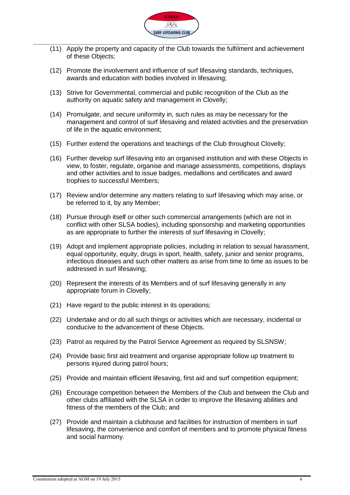

- (11) Apply the property and capacity of the Club towards the fulfilment and achievement of these Objects;
- (12) Promote the involvement and influence of surf lifesaving standards, techniques, awards and education with bodies involved in lifesaving;
- (13) Strive for Governmental, commercial and public recognition of the Club as the authority on aquatic safety and management in Clovelly;
- (14) Promulgate, and secure uniformity in, such rules as may be necessary for the management and control of surf lifesaving and related activities and the preservation of life in the aquatic environment;
- (15) Further extend the operations and teachings of the Club throughout Clovelly;
- (16) Further develop surf lifesaving into an organised institution and with these Objects in view, to foster, regulate, organise and manage assessments, competitions, displays and other activities and to issue badges, medallions and certificates and award trophies to successful Members;
- (17) Review and/or determine any matters relating to surf lifesaving which may arise, or be referred to it, by any Member;
- (18) Pursue through itself or other such commercial arrangements (which are not in conflict with other SLSA bodies), including sponsorship and marketing opportunities as are appropriate to further the interests of surf lifesaving in Clovelly;
- (19) Adopt and implement appropriate policies, including in relation to sexual harassment, equal opportunity, equity, drugs in sport, health, safety, junior and senior programs, infectious diseases and such other matters as arise from time to time as issues to be addressed in surf lifesaving;
- (20) Represent the interests of its Members and of surf lifesaving generally in any appropriate forum in Clovelly;
- (21) Have regard to the public interest in its operations;
- (22) Undertake and or do all such things or activities which are necessary, incidental or conducive to the advancement of these Objects.
- (23) Patrol as required by the Patrol Service Agreement as required by SLSNSW;
- (24) Provide basic first aid treatment and organise appropriate follow up treatment to persons injured during patrol hours;
- (25) Provide and maintain efficient lifesaving, first aid and surf competition equipment;
- (26) Encourage competition between the Members of the Club and between the Club and other clubs affiliated with the SLSA in order to improve the lifesaving abilities and fitness of the members of the Club; and
- (27) Provide and maintain a clubhouse and facilities for instruction of members in surf lifesaving, the convenience and comfort of members and to promote physical fitness and social harmony.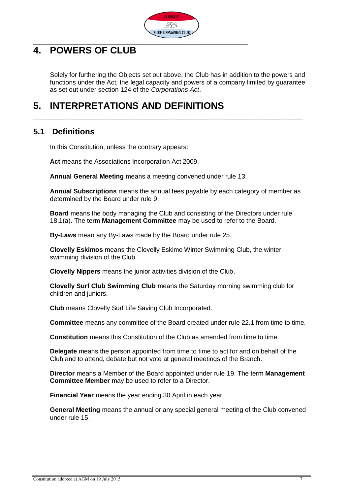

# <span id="page-6-0"></span>**4. POWERS OF CLUB**

Solely for furthering the Objects set out above, the Club has in addition to the powers and functions under the Act, the legal capacity and powers of a company limited by guarantee as set out under section 124 of the *Corporations Act*.

# <span id="page-6-1"></span>**5. INTERPRETATIONS AND DEFINITIONS**

### <span id="page-6-2"></span>**5.1 Definitions**

In this Constitution, unless the contrary appears:

**Act** means the Associations Incorporation Act 2009.

**Annual General Meeting** means a meeting convened under rule 13.

**Annual Subscriptions** means the annual fees payable by each category of member as determined by the Board under rule 9.

**Board** means the body managing the Club and consisting of the Directors under rule 18.1(a). The term **Management Committee** may be used to refer to the Board.

**By-Laws** mean any By-Laws made by the Board under rule 25.

**Clovelly Eskimos** means the Clovelly Eskimo Winter Swimming Club, the winter swimming division of the Club.

**Clovelly Nippers** means the junior activities division of the Club.

**Clovelly Surf Club Swimming Club** means the Saturday morning swimming club for children and juniors.

**Club** means Clovelly Surf Life Saving Club Incorporated.

**Committee** means any committee of the Board created under rule 22.1 from time to time.

**Constitution** means this Constitution of the Club as amended from time to time.

**Delegate** means the person appointed from time to time to act for and on behalf of the Club and to attend, debate but not vote at general meetings of the Branch.

**Director** means a Member of the Board appointed under rule 19. The term **Management Committee Member** may be used to refer to a Director.

**Financial Year** means the year ending 30 April in each year.

**General Meeting** means the annual or any special general meeting of the Club convened under rule 15.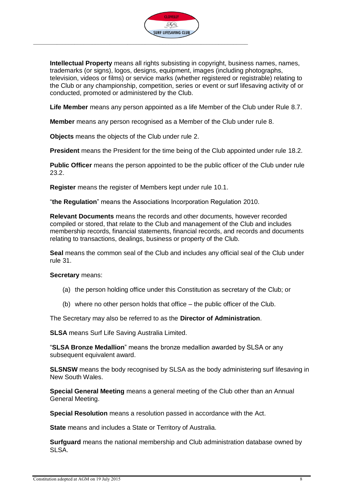

**Intellectual Property** means all rights subsisting in copyright, business names, names, trademarks (or signs), logos, designs, equipment, images (including photographs, television, videos or films) or service marks (whether registered or registrable) relating to the Club or any championship, competition, series or event or surf lifesaving activity of or conducted, promoted or administered by the Club.

**Life Member** means any person appointed as a life Member of the Club under Rule 8.7.

**Member** means any person recognised as a Member of the Club under rule 8.

**Objects** means the objects of the Club under rule 2.

**President** means the President for the time being of the Club appointed under rule 18.2.

**Public Officer** means the person appointed to be the public officer of the Club under rule 23.2.

**Register** means the register of Members kept under rule [10.1.](#page-16-1)

"**the Regulation**" means the Associations Incorporation Regulation 2010.

**Relevant Documents** means the records and other documents, however recorded compiled or stored, that relate to the Club and management of the Club and includes membership records, financial statements, financial records, and records and documents relating to transactions, dealings, business or property of the Club.

**Seal** means the common seal of the Club and includes any official seal of the Club under rule 31.

**Secretary** means:

- (a) the person holding office under this Constitution as secretary of the Club; or
- (b) where no other person holds that office the public officer of the Club.

The Secretary may also be referred to as the **Director of Administration**.

**SLSA** means Surf Life Saving Australia Limited.

"**SLSA Bronze Medallion**" means the bronze medallion awarded by SLSA or any subsequent equivalent award.

**SLSNSW** means the body recognised by SLSA as the body administering surf lifesaving in New South Wales.

**Special General Meeting** means a general meeting of the Club other than an Annual General Meeting.

**Special Resolution** means a resolution passed in accordance with the Act.

**State** means and includes a State or Territory of Australia.

**Surfguard** means the national membership and Club administration database owned by SLSA.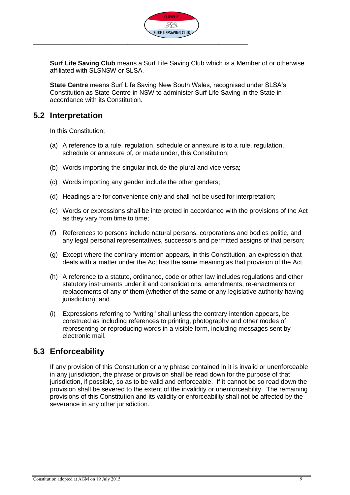

**Surf Life Saving Club** means a Surf Life Saving Club which is a Member of or otherwise affiliated with SLSNSW or SLSA.

**State Centre** means Surf Life Saving New South Wales, recognised under SLSA's Constitution as State Centre in NSW to administer Surf Life Saving in the State in accordance with its Constitution.

#### <span id="page-8-0"></span>**5.2 Interpretation**

In this Constitution:

- (a) A reference to a rule, regulation, schedule or annexure is to a rule, regulation, schedule or annexure of, or made under, this Constitution;
- (b) Words importing the singular include the plural and vice versa;
- (c) Words importing any gender include the other genders;
- (d) Headings are for convenience only and shall not be used for interpretation;
- (e) Words or expressions shall be interpreted in accordance with the provisions of the Act as they vary from time to time;
- (f) References to persons include natural persons, corporations and bodies politic, and any legal personal representatives, successors and permitted assigns of that person;
- (g) Except where the contrary intention appears, in this Constitution, an expression that deals with a matter under the Act has the same meaning as that provision of the Act.
- (h) A reference to a statute, ordinance, code or other law includes regulations and other statutory instruments under it and consolidations, amendments, re-enactments or replacements of any of them (whether of the same or any legislative authority having jurisdiction); and
- (i) Expressions referring to "writing" shall unless the contrary intention appears, be construed as including references to printing, photography and other modes of representing or reproducing words in a visible form, including messages sent by electronic mail.

#### <span id="page-8-1"></span>**5.3 Enforceability**

If any provision of this Constitution or any phrase contained in it is invalid or unenforceable in any jurisdiction, the phrase or provision shall be read down for the purpose of that jurisdiction, if possible, so as to be valid and enforceable. If it cannot be so read down the provision shall be severed to the extent of the invalidity or unenforceability. The remaining provisions of this Constitution and its validity or enforceability shall not be affected by the severance in any other jurisdiction.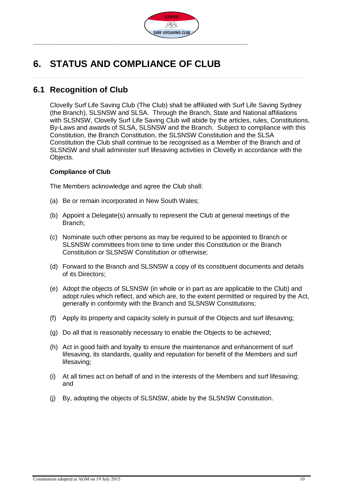

# <span id="page-9-0"></span>**6. STATUS AND COMPLIANCE OF CLUB**

#### <span id="page-9-1"></span>**6.1 Recognition of Club**

Clovelly Surf Life Saving Club (The Club) shall be affiliated with Surf Life Saving Sydney (the Branch), SLSNSW and SLSA. Through the Branch, State and National affiliations with SLSNSW, Clovelly Surf Life Saving Club will abide by the articles, rules, Constitutions, By-Laws and awards of SLSA, SLSNSW and the Branch. Subject to compliance with this Constitution, the Branch Constitution, the SLSNSW Constitution and the SLSA Constitution the Club shall continue to be recognised as a Member of the Branch and of SLSNSW and shall administer surf lifesaving activities in Clovelly in accordance with the Objects.

#### **Compliance of Club**

The Members acknowledge and agree the Club shall:

- (a) Be or remain incorporated in New South Wales;
- (b) Appoint a Delegate(s) annually to represent the Club at general meetings of the Branch;
- (c) Nominate such other persons as may be required to be appointed to Branch or SLSNSW committees from time to time under this Constitution or the Branch Constitution or SLSNSW Constitution or otherwise;
- (d) Forward to the Branch and SLSNSW a copy of its constituent documents and details of its Directors;
- (e) Adopt the objects of SLSNSW (in whole or in part as are applicable to the Club) and adopt rules which reflect, and which are, to the extent permitted or required by the Act, generally in conformity with the Branch and SLSNSW Constitutions;
- (f) Apply its property and capacity solely in pursuit of the Objects and surf lifesaving;
- (g) Do all that is reasonably necessary to enable the Objects to be achieved;
- (h) Act in good faith and loyalty to ensure the maintenance and enhancement of surf lifesaving, its standards, quality and reputation for benefit of the Members and surf lifesaving;
- (i) At all times act on behalf of and in the interests of the Members and surf lifesaving; and
- (j) By, adopting the objects of SLSNSW, abide by the SLSNSW Constitution.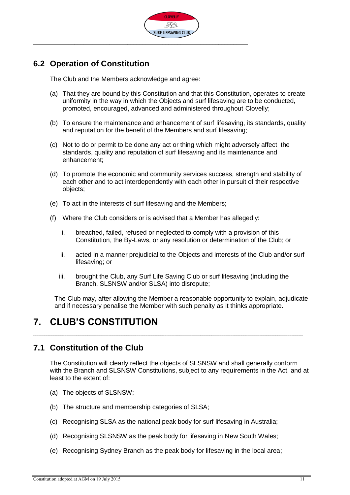

### <span id="page-10-0"></span>**6.2 Operation of Constitution**

The Club and the Members acknowledge and agree:

- (a) That they are bound by this Constitution and that this Constitution, operates to create uniformity in the way in which the Objects and surf lifesaving are to be conducted, promoted, encouraged, advanced and administered throughout Clovelly;
- (b) To ensure the maintenance and enhancement of surf lifesaving, its standards, quality and reputation for the benefit of the Members and surf lifesaving;
- (c) Not to do or permit to be done any act or thing which might adversely affect the standards, quality and reputation of surf lifesaving and its maintenance and enhancement;
- (d) To promote the economic and community services success, strength and stability of each other and to act interdependently with each other in pursuit of their respective objects;
- (e) To act in the interests of surf lifesaving and the Members;
- (f) Where the Club considers or is advised that a Member has allegedly:
	- i. breached, failed, refused or neglected to comply with a provision of this Constitution, the By-Laws, or any resolution or determination of the Club; or
	- ii. acted in a manner prejudicial to the Objects and interests of the Club and/or surf lifesaving; or
	- iii. brought the Club, any Surf Life Saving Club or surf lifesaving (including the Branch, SLSNSW and/or SLSA) into disrepute;

The Club may, after allowing the Member a reasonable opportunity to explain, adjudicate and if necessary penalise the Member with such penalty as it thinks appropriate.

### <span id="page-10-1"></span>**7. CLUB'S CONSTITUTION**

#### <span id="page-10-2"></span>**7.1 Constitution of the Club**

The Constitution will clearly reflect the objects of SLSNSW and shall generally conform with the Branch and SLSNSW Constitutions, subject to any requirements in the Act, and at least to the extent of:

- (a) The objects of SLSNSW;
- (b) The structure and membership categories of SLSA;
- (c) Recognising SLSA as the national peak body for surf lifesaving in Australia;
- (d) Recognising SLSNSW as the peak body for lifesaving in New South Wales;
- (e) Recognising Sydney Branch as the peak body for lifesaving in the local area;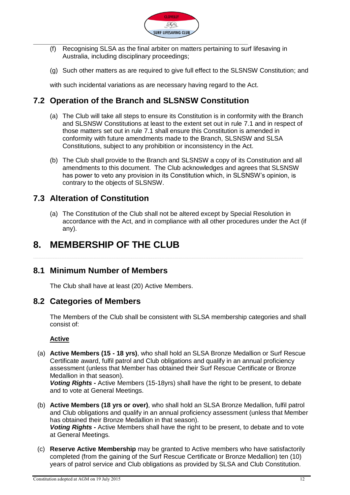

- (f) Recognising SLSA as the final arbiter on matters pertaining to surf lifesaving in Australia, including disciplinary proceedings;
- (g) Such other matters as are required to give full effect to the SLSNSW Constitution; and

with such incidental variations as are necessary having regard to the Act.

#### <span id="page-11-0"></span>**7.2 Operation of the Branch and SLSNSW Constitution**

- (a) The Club will take all steps to ensure its Constitution is in conformity with the Branch and SLSNSW Constitutions at least to the extent set out in rule 7.1 and in respect of those matters set out in rule 7.1 shall ensure this Constitution is amended in conformity with future amendments made to the Branch, SLSNSW and SLSA Constitutions, subject to any prohibition or inconsistency in the Act.
- (b) The Club shall provide to the Branch and SLSNSW a copy of its Constitution and all amendments to this document. The Club acknowledges and agrees that SLSNSW has power to veto any provision in its Constitution which, in SLSNSW's opinion, is contrary to the objects of SLSNSW.

#### <span id="page-11-1"></span>**7.3 Alteration of Constitution**

(a) The Constitution of the Club shall not be altered except by Special Resolution in accordance with the Act, and in compliance with all other procedures under the Act (if any).

### <span id="page-11-2"></span>**8. MEMBERSHIP OF THE CLUB**

#### <span id="page-11-3"></span>**8.1 Minimum Number of Members**

The Club shall have at least (20) Active Members.

#### <span id="page-11-4"></span>**8.2 Categories of Members**

The Members of the Club shall be consistent with SLSA membership categories and shall consist of:

#### **Active**

(a) **Active Members (15 - 18 yrs)**, who shall hold an SLSA Bronze Medallion or Surf Rescue Certificate award, fulfil patrol and Club obligations and qualify in an annual proficiency assessment (unless that Member has obtained their Surf Rescue Certificate or Bronze Medallion in that season).

*Voting Rights -* Active Members (15-18yrs) shall have the right to be present, to debate and to vote at General Meetings.

- (b) **Active Members (18 yrs or over)**, who shall hold an SLSA Bronze Medallion, fulfil patrol and Club obligations and qualify in an annual proficiency assessment (unless that Member has obtained their Bronze Medallion in that season). *Voting Rights -* Active Members shall have the right to be present, to debate and to vote at General Meetings.
- (c) **Reserve Active Membership** may be granted to Active members who have satisfactorily completed (from the gaining of the Surf Rescue Certificate or Bronze Medallion) ten (10) years of patrol service and Club obligations as provided by SLSA and Club Constitution.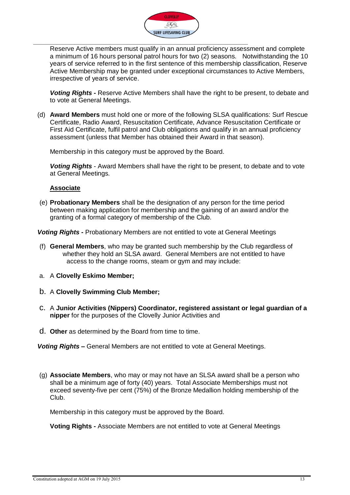

Reserve Active members must qualify in an annual proficiency assessment and complete a minimum of 16 hours personal patrol hours for two (2) seasons. Notwithstanding the 10 years of service referred to in the first sentence of this membership classification, Reserve Active Membership may be granted under exceptional circumstances to Active Members, irrespective of years of service.

*Voting Rights -* Reserve Active Members shall have the right to be present, to debate and to vote at General Meetings.

(d) **Award Members** must hold one or more of the following SLSA qualifications: Surf Rescue Certificate, Radio Award, Resuscitation Certificate, Advance Resuscitation Certificate or First Aid Certificate, fulfil patrol and Club obligations and qualify in an annual proficiency assessment (unless that Member has obtained their Award in that season).

Membership in this category must be approved by the Board.

*Voting Rights* - Award Members shall have the right to be present, to debate and to vote at General Meetings.

#### **Associate**

(e) **Probationary Members** shall be the designation of any person for the time period between making application for membership and the gaining of an award and/or the granting of a formal category of membership of the Club.

*Voting Rights -* Probationary Members are not entitled to vote at General Meetings

- (f) **General Members**, who may be granted such membership by the Club regardless of whether they hold an SLSA award. General Members are not entitled to have access to the change rooms, steam or gym and may include:
- a. A **Clovelly Eskimo Member;**
- b. A **Clovelly Swimming Club Member;**
- c. A **Junior Activities (Nippers) Coordinator, registered assistant or legal guardian of a nipper** for the purposes of the Clovelly Junior Activities and
- d. **Other** as determined by the Board from time to time.

*Voting Rights –* General Members are not entitled to vote at General Meetings.

(g) **Associate Members**, who may or may not have an SLSA award shall be a person who shall be a minimum age of forty (40) years. Total Associate Memberships must not exceed seventy-five per cent (75%) of the Bronze Medallion holding membership of the Club.

Membership in this category must be approved by the Board.

**Voting Rights -** Associate Members are not entitled to vote at General Meetings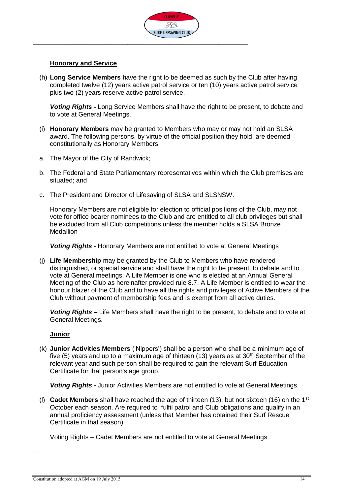

#### **Honorary and Service**

(h) **Long Service Members** have the right to be deemed as such by the Club after having completed twelve (12) years active patrol service or ten (10) years active patrol service plus two (2) years reserve active patrol service.

*Voting Rights* **-** Long Service Members shall have the right to be present, to debate and to vote at General Meetings.

- (i) **Honorary Members** may be granted to Members who may or may not hold an SLSA award. The following persons, by virtue of the official position they hold, are deemed constitutionally as Honorary Members:
- a. The Mayor of the City of Randwick;
- b. The Federal and State Parliamentary representatives within which the Club premises are situated; and
- c. The President and Director of Lifesaving of SLSA and SLSNSW.

Honorary Members are not eligible for election to official positions of the Club, may not vote for office bearer nominees to the Club and are entitled to all club privileges but shall be excluded from all Club competitions unless the member holds a SLSA Bronze **Medallion** 

*Voting Rights* - Honorary Members are not entitled to vote at General Meetings

(j) **Life Membership** may be granted by the Club to Members who have rendered distinguished, or special service and shall have the right to be present, to debate and to vote at General meetings. A Life Member is one who is elected at an Annual General Meeting of the Club as hereinafter provided rule 8.7. A Life Member is entitled to wear the honour blazer of the Club and to have all the rights and privileges of Active Members of the Club without payment of membership fees and is exempt from all active duties.

*Voting Rights* **–** Life Members shall have the right to be present, to debate and to vote at General Meetings.

#### **Junior**

(k) **Junior Activities Members** ('Nippers') shall be a person who shall be a minimum age of five (5) years and up to a maximum age of thirteen (13) years as at 30<sup>th</sup> September of the relevant year and such person shall be required to gain the relevant Surf Education Certificate for that person's age group.

*Voting Rights -* Junior Activities Members are not entitled to vote at General Meetings

(l) **Cadet Members** shall have reached the age of thirteen (13), but not sixteen (16) on the 1st October each season. Are required to fulfil patrol and Club obligations and qualify in an annual proficiency assessment (unless that Member has obtained their Surf Rescue Certificate in that season).

Voting Rights – Cadet Members are not entitled to vote at General Meetings.

.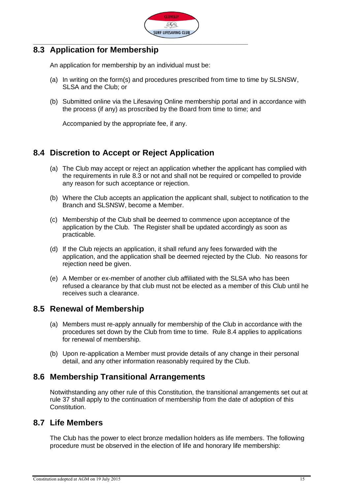

#### <span id="page-14-0"></span>**8.3 Application for Membership**

An application for membership by an individual must be:

- (a) In writing on the form(s) and procedures prescribed from time to time by SLSNSW, SLSA and the Club; or
- (b) Submitted online via the Lifesaving Online membership portal and in accordance with the process (if any) as proscribed by the Board from time to time; and

Accompanied by the appropriate fee, if any.

### <span id="page-14-1"></span>**8.4 Discretion to Accept or Reject Application**

- (a) The Club may accept or reject an application whether the applicant has complied with the requirements in rule 8.3 or not and shall not be required or compelled to provide any reason for such acceptance or rejection.
- (b) Where the Club accepts an application the applicant shall, subject to notification to the Branch and SLSNSW, become a Member.
- (c) Membership of the Club shall be deemed to commence upon acceptance of the application by the Club. The Register shall be updated accordingly as soon as practicable.
- (d) If the Club rejects an application, it shall refund any fees forwarded with the application, and the application shall be deemed rejected by the Club. No reasons for rejection need be given.
- (e) A Member or ex-member of another club affiliated with the SLSA who has been refused a clearance by that club must not be elected as a member of this Club until he receives such a clearance.

#### <span id="page-14-2"></span>**8.5 Renewal of Membership**

- (a) Members must re-apply annually for membership of the Club in accordance with the procedures set down by the Club from time to time. Rule 8.4 applies to applications for renewal of membership.
- (b) Upon re-application a Member must provide details of any change in their personal detail, and any other information reasonably required by the Club.

#### <span id="page-14-3"></span>**8.6 Membership Transitional Arrangements**

Notwithstanding any other rule of this Constitution, the transitional arrangements set out at rule 37 shall apply to the continuation of membership from the date of adoption of this Constitution.

#### <span id="page-14-4"></span>**8.7 Life Members**

The Club has the power to elect bronze medallion holders as life members. The following procedure must be observed in the election of life and honorary life membership: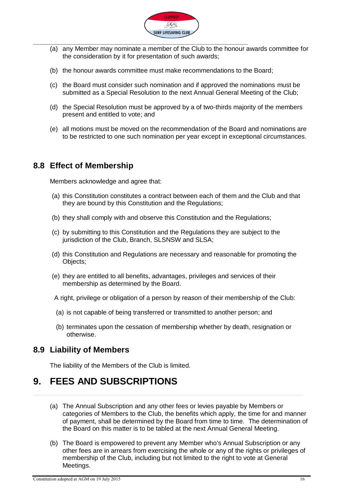

- (a) any Member may nominate a member of the Club to the honour awards committee for the consideration by it for presentation of such awards;
- (b) the honour awards committee must make recommendations to the Board;
- (c) the Board must consider such nomination and if approved the nominations must be submitted as a Special Resolution to the next Annual General Meeting of the Club;
- (d) the Special Resolution must be approved by a of two-thirds majority of the members present and entitled to vote; and
- (e) all motions must be moved on the recommendation of the Board and nominations are to be restricted to one such nomination per year except in exceptional circumstances.

#### <span id="page-15-0"></span>**8.8 Effect of Membership**

Members acknowledge and agree that:

- (a) this Constitution constitutes a contract between each of them and the Club and that they are bound by this Constitution and the Regulations;
- (b) they shall comply with and observe this Constitution and the Regulations;
- (c) by submitting to this Constitution and the Regulations they are subject to the jurisdiction of the Club, Branch, SLSNSW and SLSA;
- (d) this Constitution and Regulations are necessary and reasonable for promoting the Objects;
- (e) they are entitled to all benefits, advantages, privileges and services of their membership as determined by the Board.

A right, privilege or obligation of a person by reason of their membership of the Club:

- (a) is not capable of being transferred or transmitted to another person; and
- (b) terminates upon the cessation of membership whether by death, resignation or otherwise.

#### <span id="page-15-1"></span>**8.9 Liability of Members**

The liability of the Members of the Club is limited.

### <span id="page-15-2"></span>**9. FEES AND SUBSCRIPTIONS**

- (a) The Annual Subscription and any other fees or levies payable by Members or categories of Members to the Club, the benefits which apply, the time for and manner of payment, shall be determined by the Board from time to time. The determination of the Board on this matter is to be tabled at the next Annual General Meeting.
- (b) The Board is empowered to prevent any Member who's Annual Subscription or any other fees are in arrears from exercising the whole or any of the rights or privileges of membership of the Club, including but not limited to the right to vote at General Meetings.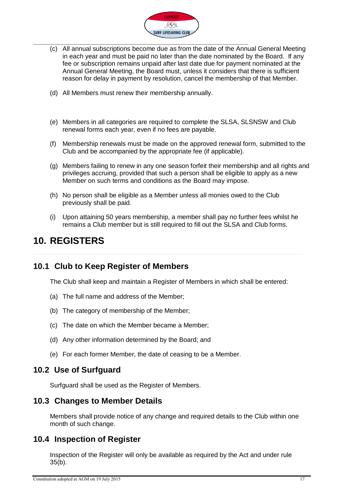

- (c) All annual subscriptions become due as from the date of the Annual General Meeting in each year and must be paid no later than the date nominated by the Board. If any fee or subscription remains unpaid after last date due for payment nominated at the Annual General Meeting, the Board must, unless it considers that there is sufficient reason for delay in payment by resolution, cancel the membership of that Member.
- (d) All Members must renew their membership annually.
- (e) Members in all categories are required to complete the SLSA, SLSNSW and Club renewal forms each year, even if no fees are payable.
- (f) Membership renewals must be made on the approved renewal form, submitted to the Club and be accompanied by the appropriate fee (if applicable).
- (g) Members failing to renew in any one season forfeit their membership and all rights and privileges accruing, provided that such a person shall be eligible to apply as a new Member on such terms and conditions as the Board may impose.
- (h) No person shall be eligible as a Member unless all monies owed to the Club previously shall be paid.
- (i) Upon attaining 50 years membership, a member shall pay no further fees whilst he remains a Club member but is still required to fill out the SLSA and Club forms.

### <span id="page-16-0"></span>**10. REGISTERS**

#### <span id="page-16-1"></span>**10.1 Club to Keep Register of Members**

The Club shall keep and maintain a Register of Members in which shall be entered:

- (a) The full name and address of the Member;
- (b) The category of membership of the Member;
- (c) The date on which the Member became a Member;
- (d) Any other information determined by the Board; and
- (e) For each former Member, the date of ceasing to be a Member.

#### <span id="page-16-5"></span><span id="page-16-2"></span>**10.2 Use of Surfguard**

Surfguard shall be used as the Register of Members.

#### <span id="page-16-3"></span>**10.3 Changes to Member Details**

Members shall provide notice of any change and required details to the Club within one month of such change.

#### <span id="page-16-4"></span>**10.4 Inspection of Register**

Inspection of the Register will only be available as required by the Act and under rule 35(b).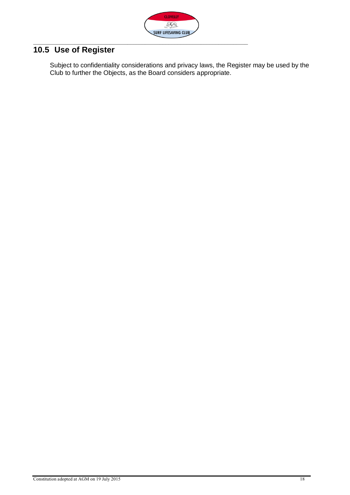

### <span id="page-17-0"></span>**10.5 Use of Register**

Subject to confidentiality considerations and privacy laws, the Register may be used by the Club to further the Objects, as the Board considers appropriate.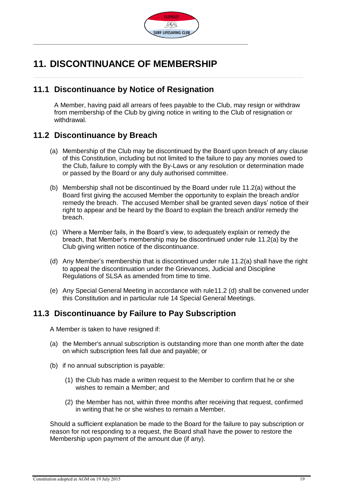

### <span id="page-18-0"></span>**11. DISCONTINUANCE OF MEMBERSHIP**

#### <span id="page-18-1"></span>**11.1 Discontinuance by Notice of Resignation**

A Member, having paid all arrears of fees payable to the Club, may resign or withdraw from membership of the Club by giving notice in writing to the Club of resignation or withdrawal.

#### <span id="page-18-4"></span><span id="page-18-2"></span>**11.2 Discontinuance by Breach**

- (a) Membership of the Club may be discontinued by the Board upon breach of any clause of this Constitution, including but not limited to the failure to pay any monies owed to the Club, failure to comply with the By-Laws or any resolution or determination made or passed by the Board or any duly authorised committee.
- (b) Membership shall not be discontinued by the Board under rule 11.2(a) without the Board first giving the accused Member the opportunity to explain the breach and/or remedy the breach. The accused Member shall be granted seven days' notice of their right to appear and be heard by the Board to explain the breach and/or remedy the breach.
- (c) Where a Member fails, in the Board's view, to adequately explain or remedy the breach, that Member's membership may be discontinued under rule 11.[2\(a\)](#page-18-4) by the Club giving written notice of the discontinuance.
- <span id="page-18-5"></span>(d) Any Member's membership that is discontinued under rule 11.2(a) shall have the right to appeal the discontinuation under the Grievances, Judicial and Discipline Regulations of SLSA as amended from time to time.
- (e) Any Special General Meeting in accordance with rule11.2 [\(d\)](#page-18-5) shall be convened under this Constitution and in particular rule 14 Special General Meetings.

#### <span id="page-18-3"></span>**11.3 Discontinuance by Failure to Pay Subscription**

A Member is taken to have resigned if:

- (a) the Member's annual subscription is outstanding more than one month after the date on which subscription fees fall due and payable; or
- (b) if no annual subscription is payable:
	- (1) the Club has made a written request to the Member to confirm that he or she wishes to remain a Member; and
	- (2) the Member has not, within three months after receiving that request, confirmed in writing that he or she wishes to remain a Member.

Should a sufficient explanation be made to the Board for the failure to pay subscription or reason for not responding to a request, the Board shall have the power to restore the Membership upon payment of the amount due (if any).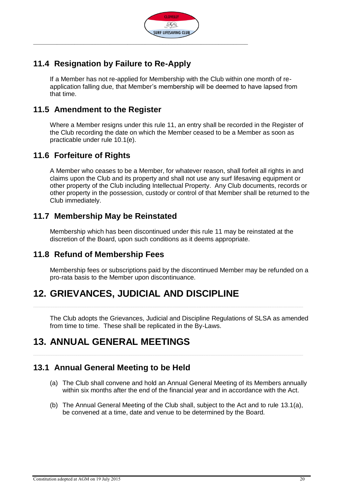

### <span id="page-19-0"></span>**11.4 Resignation by Failure to Re-Apply**

If a Member has not re-applied for Membership with the Club within one month of reapplication falling due, that Member's membership will be deemed to have lapsed from that time.

#### <span id="page-19-1"></span>**11.5 Amendment to the Register**

Where a Member resigns under this rule 11, an entry shall be recorded in the Register of the Club recording the date on which the Member ceased to be a Member as soon as practicable under rule 10.[1\(e\).](#page-16-5)

#### <span id="page-19-2"></span>**11.6 Forfeiture of Rights**

A Member who ceases to be a Member, for whatever reason, shall forfeit all rights in and claims upon the Club and its property and shall not use any surf lifesaving equipment or other property of the Club including Intellectual Property. Any Club documents, records or other property in the possession, custody or control of that Member shall be returned to the Club immediately.

#### <span id="page-19-3"></span>**11.7 Membership May be Reinstated**

Membership which has been discontinued under this rule 11 may be reinstated at the discretion of the Board, upon such conditions as it deems appropriate.

#### <span id="page-19-4"></span>**11.8 Refund of Membership Fees**

Membership fees or subscriptions paid by the discontinued Member may be refunded on a pro-rata basis to the Member upon discontinuance.

### <span id="page-19-5"></span>**12. GRIEVANCES, JUDICIAL AND DISCIPLINE**

The Club adopts the Grievances, Judicial and Discipline Regulations of SLSA as amended from time to time. These shall be replicated in the By-Laws.

### <span id="page-19-6"></span>**13. ANNUAL GENERAL MEETINGS**

#### <span id="page-19-8"></span><span id="page-19-7"></span>**13.1 Annual General Meeting to be Held**

- (a) The Club shall convene and hold an Annual General Meeting of its Members annually within six months after the end of the financial year and in accordance with the Act.
- (b) The Annual General Meeting of the Club shall, subject to the Act and to rule 13.[1\(a\),](#page-19-8) be convened at a time, date and venue to be determined by the Board.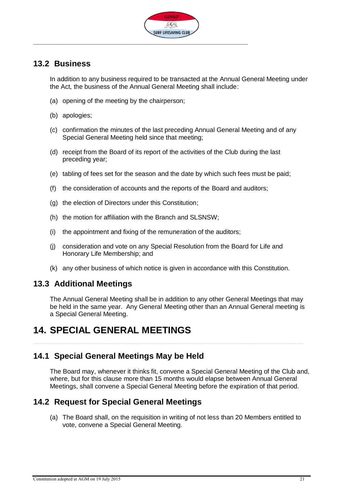

#### <span id="page-20-0"></span>**13.2 Business**

In addition to any business required to be transacted at the Annual General Meeting under the Act, the business of the Annual General Meeting shall include:

- (a) opening of the meeting by the chairperson;
- (b) apologies;
- (c) confirmation the minutes of the last preceding Annual General Meeting and of any Special General Meeting held since that meeting;
- (d) receipt from the Board of its report of the activities of the Club during the last preceding year;
- (e) tabling of fees set for the season and the date by which such fees must be paid;
- (f) the consideration of accounts and the reports of the Board and auditors;
- (g) the election of Directors under this Constitution;
- (h) the motion for affiliation with the Branch and SLSNSW;
- (i) the appointment and fixing of the remuneration of the auditors;
- (j) consideration and vote on any Special Resolution from the Board for Life and Honorary Life Membership; and
- (k) any other business of which notice is given in accordance with this Constitution.

#### <span id="page-20-1"></span>**13.3 Additional Meetings**

The Annual General Meeting shall be in addition to any other General Meetings that may be held in the same year. Any General Meeting other than an Annual General meeting is a Special General Meeting.

### <span id="page-20-2"></span>**14. SPECIAL GENERAL MEETINGS**

#### <span id="page-20-3"></span>**14.1 Special General Meetings May be Held**

The Board may, whenever it thinks fit, convene a Special General Meeting of the Club and, where, but for this clause more than 15 months would elapse between Annual General Meetings, shall convene a Special General Meeting before the expiration of that period.

#### <span id="page-20-4"></span>**14.2 Request for Special General Meetings**

(a) The Board shall, on the requisition in writing of not less than 20 Members entitled to vote, convene a Special General Meeting.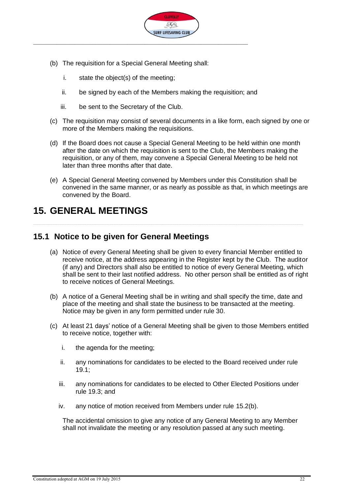

- (b) The requisition for a Special General Meeting shall:
	- i. state the object(s) of the meeting;
	- ii. be signed by each of the Members making the requisition; and
	- iii. be sent to the Secretary of the Club.
- (c) The requisition may consist of several documents in a like form, each signed by one or more of the Members making the requisitions.
- (d) If the Board does not cause a Special General Meeting to be held within one month after the date on which the requisition is sent to the Club, the Members making the requisition, or any of them, may convene a Special General Meeting to be held not later than three months after that date.
- (e) A Special General Meeting convened by Members under this Constitution shall be convened in the same manner, or as nearly as possible as that, in which meetings are convened by the Board.

### <span id="page-21-0"></span>**15. GENERAL MEETINGS**

#### <span id="page-21-1"></span>**15.1 Notice to be given for General Meetings**

- (a) Notice of every General Meeting shall be given to every financial Member entitled to receive notice, at the address appearing in the Register kept by the Club. The auditor (if any) and Directors shall also be entitled to notice of every General Meeting, which shall be sent to their last notified address. No other person shall be entitled as of right to receive notices of General Meetings.
- (b) A notice of a General Meeting shall be in writing and shall specify the time, date and place of the meeting and shall state the business to be transacted at the meeting. Notice may be given in any form permitted under rule 30.
- (c) At least 21 days' notice of a General Meeting shall be given to those Members entitled to receive notice, together with:
	- i. the agenda for the meeting;
	- ii. any nominations for candidates to be elected to the Board received under rule 19.1;
	- iii. any nominations for candidates to be elected to Other Elected Positions under rule 19.3; and
	- iv. any notice of motion received from Members under rule 15.[2\(b\).](#page-22-4)

The accidental omission to give any notice of any General Meeting to any Member shall not invalidate the meeting or any resolution passed at any such meeting.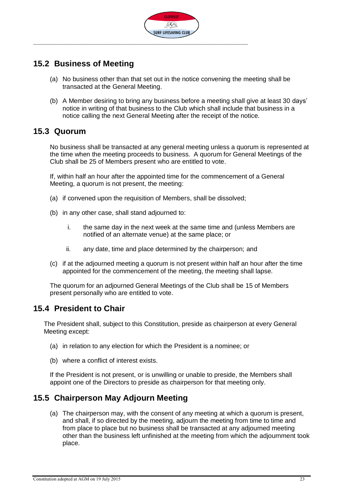

#### <span id="page-22-0"></span>**15.2 Business of Meeting**

- (a) No business other than that set out in the notice convening the meeting shall be transacted at the General Meeting.
- <span id="page-22-4"></span>(b) A Member desiring to bring any business before a meeting shall give at least 30 days' notice in writing of that business to the Club which shall include that business in a notice calling the next General Meeting after the receipt of the notice.

#### <span id="page-22-1"></span>**15.3 Quorum**

No business shall be transacted at any general meeting unless a quorum is represented at the time when the meeting proceeds to business. A quorum for General Meetings of the Club shall be 25 of Members present who are entitled to vote.

If, within half an hour after the appointed time for the commencement of a General Meeting, a quorum is not present, the meeting:

- (a) if convened upon the requisition of Members, shall be dissolved;
- (b) in any other case, shall stand adjourned to:
	- i. the same day in the next week at the same time and (unless Members are notified of an alternate venue) at the same place; or
	- ii. any date, time and place determined by the chairperson; and
- (c) if at the adjourned meeting a quorum is not present within half an hour after the time appointed for the commencement of the meeting, the meeting shall lapse.

The quorum for an adjourned General Meetings of the Club shall be 15 of Members present personally who are entitled to vote.

#### <span id="page-22-2"></span>**15.4 President to Chair**

The President shall, subject to this Constitution, preside as chairperson at every General Meeting except:

- (a) in relation to any election for which the President is a nominee; or
- (b) where a conflict of interest exists.

If the President is not present, or is unwilling or unable to preside, the Members shall appoint one of the Directors to preside as chairperson for that meeting only.

#### <span id="page-22-3"></span>**15.5 Chairperson May Adjourn Meeting**

(a) The chairperson may, with the consent of any meeting at which a quorum is present, and shall, if so directed by the meeting, adjourn the meeting from time to time and from place to place but no business shall be transacted at any adjourned meeting other than the business left unfinished at the meeting from which the adjournment took place.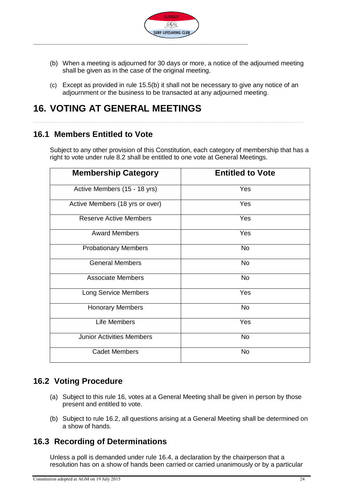

- <span id="page-23-4"></span>(b) When a meeting is adjourned for 30 days or more, a notice of the adjourned meeting shall be given as in the case of the original meeting.
- (c) Except as provided in rule 15.[5\(b\)](#page-23-4) it shall not be necessary to give any notice of an adjournment or the business to be transacted at any adjourned meeting.

### <span id="page-23-0"></span>**16. VOTING AT GENERAL MEETINGS**

#### <span id="page-23-1"></span>**16.1 Members Entitled to Vote**

Subject to any other provision of this Constitution, each category of membership that has a right to vote under rule 8.2 shall be entitled to one vote at General Meetings.

| <b>Membership Category</b>       | <b>Entitled to Vote</b> |
|----------------------------------|-------------------------|
| Active Members (15 - 18 yrs)     | Yes                     |
| Active Members (18 yrs or over)  | Yes                     |
| <b>Reserve Active Members</b>    | Yes                     |
| <b>Award Members</b>             | Yes                     |
| <b>Probationary Members</b>      | <b>No</b>               |
| <b>General Members</b>           | <b>No</b>               |
| <b>Associate Members</b>         | <b>No</b>               |
| <b>Long Service Members</b>      | Yes                     |
| <b>Honorary Members</b>          | <b>No</b>               |
| Life Members                     | Yes                     |
| <b>Junior Activities Members</b> | <b>No</b>               |
| <b>Cadet Members</b>             | No                      |

#### <span id="page-23-2"></span>**16.2 Voting Procedure**

- (a) Subject to this rule 16, votes at a General Meeting shall be given in person by those present and entitled to vote.
- (b) Subject to rule 16.2, all questions arising at a General Meeting shall be determined on a show of hands.

#### <span id="page-23-3"></span>**16.3 Recording of Determinations**

Unless a poll is demanded under rule 16.4, a declaration by the chairperson that a resolution has on a show of hands been carried or carried unanimously or by a particular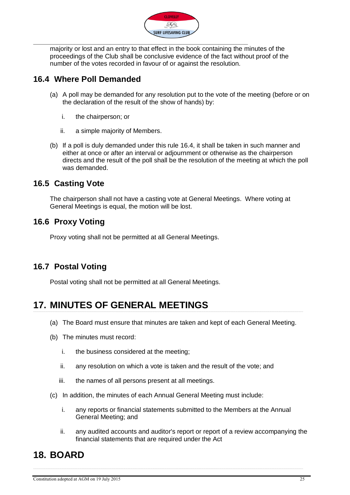

majority or lost and an entry to that effect in the book containing the minutes of the proceedings of the Club shall be conclusive evidence of the fact without proof of the number of the votes recorded in favour of or against the resolution.

#### <span id="page-24-0"></span>**16.4 Where Poll Demanded**

- (a) A poll may be demanded for any resolution put to the vote of the meeting (before or on the declaration of the result of the show of hands) by:
	- i. the chairperson; or
	- ii. a simple majority of Members.
- (b) If a poll is duly demanded under this rule 16.4, it shall be taken in such manner and either at once or after an interval or adjournment or otherwise as the chairperson directs and the result of the poll shall be the resolution of the meeting at which the poll was demanded.

#### <span id="page-24-1"></span>**16.5 Casting Vote**

The chairperson shall not have a casting vote at General Meetings. Where voting at General Meetings is equal, the motion will be lost.

#### <span id="page-24-2"></span>**16.6 Proxy Voting**

Proxy voting shall not be permitted at all General Meetings.

### <span id="page-24-3"></span>**16.7 Postal Voting**

Postal voting shall not be permitted at all General Meetings.

### <span id="page-24-4"></span>**17. MINUTES OF GENERAL MEETINGS**

- (a) The Board must ensure that minutes are taken and kept of each General Meeting.
- (b) The minutes must record:
	- i. the business considered at the meeting;
	- ii. any resolution on which a vote is taken and the result of the vote; and
	- iii. the names of all persons present at all meetings.
- (c) In addition, the minutes of each Annual General Meeting must include:
	- i. any reports or financial statements submitted to the Members at the Annual General Meeting; and
	- ii. any audited accounts and auditor's report or report of a review accompanying the financial statements that are required under the Act

### <span id="page-24-5"></span>**18. BOARD**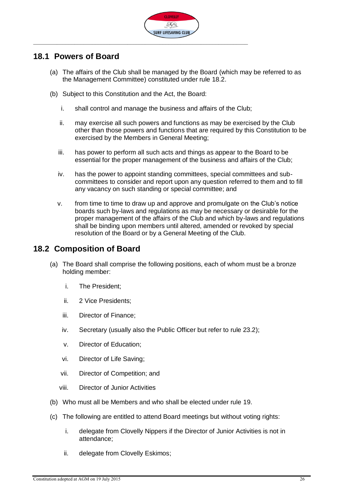

#### <span id="page-25-0"></span>**18.1 Powers of Board**

- (a) The affairs of the Club shall be managed by the Board (which may be referred to as the Management Committee) constituted under rule 18.2.
- (b) Subject to this Constitution and the Act, the Board:
	- i. shall control and manage the business and affairs of the Club;
	- ii. may exercise all such powers and functions as may be exercised by the Club other than those powers and functions that are required by this Constitution to be exercised by the Members in General Meeting;
	- iii. has power to perform all such acts and things as appear to the Board to be essential for the proper management of the business and affairs of the Club;
	- iv. has the power to appoint standing committees, special committees and subcommittees to consider and report upon any question referred to them and to fill any vacancy on such standing or special committee; and
	- v. from time to time to draw up and approve and promulgate on the Club's notice boards such by-laws and regulations as may be necessary or desirable for the proper management of the affairs of the Club and which by-laws and regulations shall be binding upon members until altered, amended or revoked by special resolution of the Board or by a General Meeting of the Club.

#### <span id="page-25-1"></span>**18.2 Composition of Board**

- (a) The Board shall comprise the following positions, each of whom must be a bronze holding member:
	- i. The President;
	- ii. 2 Vice Presidents;
	- iii. Director of Finance;
	- iv. Secretary (usually also the Public Officer but refer to rule 23.2);
	- v. Director of Education;
	- vi. Director of Life Saving;
	- vii. Director of Competition; and
	- viii. Director of Junior Activities
- (b) Who must all be Members and who shall be elected under rule 19.
- (c) The following are entitled to attend Board meetings but without voting rights:
	- i. delegate from Clovelly Nippers if the Director of Junior Activities is not in attendance;
	- ii. delegate from Clovelly Eskimos;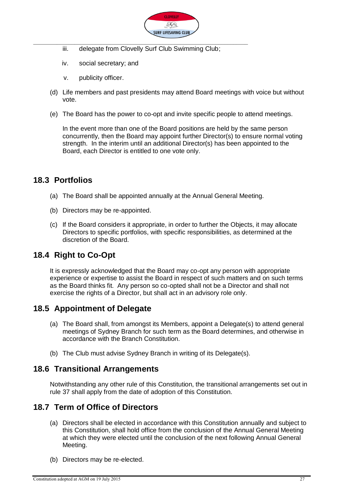

- iii. delegate from Clovelly Surf Club Swimming Club;
- iv. social secretary; and
- v. publicity officer.
- (d) Life members and past presidents may attend Board meetings with voice but without vote.
- (e) The Board has the power to co-opt and invite specific people to attend meetings.

In the event more than one of the Board positions are held by the same person concurrently, then the Board may appoint further Director(s) to ensure normal voting strength. In the interim until an additional Director(s) has been appointed to the Board, each Director is entitled to one vote only.

#### <span id="page-26-0"></span>**18.3 Portfolios**

- (a) The Board shall be appointed annually at the Annual General Meeting.
- (b) Directors may be re-appointed.
- (c) If the Board considers it appropriate, in order to further the Objects, it may allocate Directors to specific portfolios, with specific responsibilities, as determined at the discretion of the Board.

#### <span id="page-26-1"></span>**18.4 Right to Co-Opt**

It is expressly acknowledged that the Board may co-opt any person with appropriate experience or expertise to assist the Board in respect of such matters and on such terms as the Board thinks fit. Any person so co-opted shall not be a Director and shall not exercise the rights of a Director, but shall act in an advisory role only.

#### <span id="page-26-2"></span>**18.5 Appointment of Delegate**

- (a) The Board shall, from amongst its Members, appoint a Delegate(s) to attend general meetings of Sydney Branch for such term as the Board determines, and otherwise in accordance with the Branch Constitution.
- (b) The Club must advise Sydney Branch in writing of its Delegate(s).

### <span id="page-26-3"></span>**18.6 Transitional Arrangements**

Notwithstanding any other rule of this Constitution, the transitional arrangements set out in rule 37 shall apply from the date of adoption of this Constitution.

### <span id="page-26-4"></span>**18.7 Term of Office of Directors**

- (a) Directors shall be elected in accordance with this Constitution annually and subject to this Constitution, shall hold office from the conclusion of the Annual General Meeting at which they were elected until the conclusion of the next following Annual General Meeting.
- (b) Directors may be re-elected.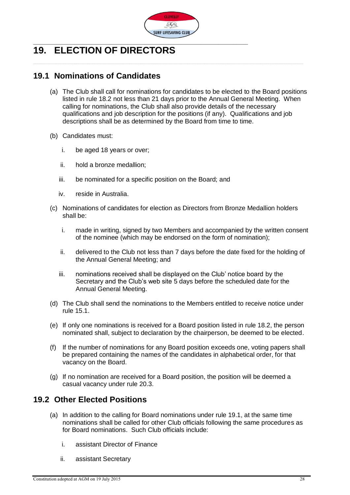

# <span id="page-27-0"></span>**19. ELECTION OF DIRECTORS**

### <span id="page-27-1"></span>**19.1 Nominations of Candidates**

- (a) The Club shall call for nominations for candidates to be elected to the Board positions listed in rule 18.2 not less than 21 days prior to the Annual General Meeting. When calling for nominations, the Club shall also provide details of the necessary qualifications and job description for the positions (if any). Qualifications and job descriptions shall be as determined by the Board from time to time.
- (b) Candidates must:
	- i. be aged 18 years or over;
	- ii. hold a bronze medallion;
	- iii. be nominated for a specific position on the Board; and
	- iv. reside in Australia.
- (c) Nominations of candidates for election as Directors from Bronze Medallion holders shall be:
	- i. made in writing, signed by two Members and accompanied by the written consent of the nominee (which may be endorsed on the form of nomination);
	- ii. delivered to the Club not less than 7 days before the date fixed for the holding of the Annual General Meeting; and
	- iii. nominations received shall be displayed on the Club' notice board by the Secretary and the Club's web site 5 days before the scheduled date for the Annual General Meeting.
- (d) The Club shall send the nominations to the Members entitled to receive notice under rule 15.1.
- (e) If only one nominations is received for a Board position listed in rule 18.2, the person nominated shall, subject to declaration by the chairperson, be deemed to be elected.
- (f) If the number of nominations for any Board position exceeds one, voting papers shall be prepared containing the names of the candidates in alphabetical order, for that vacancy on the Board.
- (g) If no nomination are received for a Board position, the position will be deemed a casual vacancy under rule 20.3.

#### <span id="page-27-2"></span>**19.2 Other Elected Positions**

- (a) In addition to the calling for Board nominations under rule 19.1, at the same time nominations shall be called for other Club officials following the same procedures as for Board nominations. Such Club officials include:
	- i. assistant Director of Finance
	- ii. assistant Secretary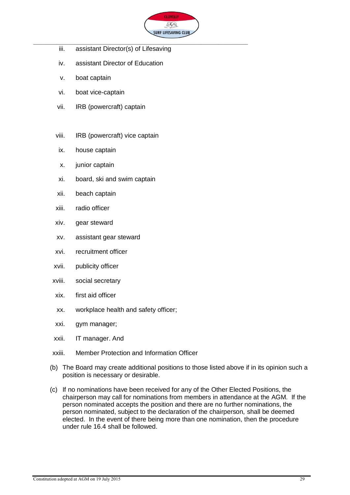

- iii. assistant Director(s) of Lifesaving
- iv. assistant Director of Education
- v. boat captain
- vi. boat vice-captain
- vii. IRB (powercraft) captain
- viii. IRB (powercraft) vice captain
- ix. house captain
- x. junior captain
- xi. board, ski and swim captain
- xii. beach captain
- xiii. radio officer
- xiv. gear steward
- xv. assistant gear steward
- xvi. recruitment officer
- xvii. publicity officer
- xviii. social secretary
- xix. first aid officer
- xx. workplace health and safety officer;
- xxi. gym manager;
- xxii. IT manager. And
- xxiii. Member Protection and Information Officer
- (b) The Board may create additional positions to those listed above if in its opinion such a position is necessary or desirable.
- (c) If no nominations have been received for any of the Other Elected Positions, the chairperson may call for nominations from members in attendance at the AGM. If the person nominated accepts the position and there are no further nominations, the person nominated, subject to the declaration of the chairperson, shall be deemed elected. In the event of there being more than one nomination, then the procedure under rule 16.4 shall be followed.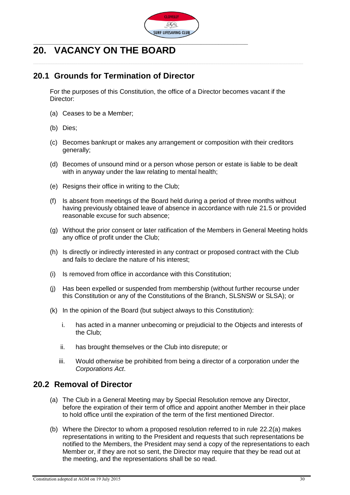

# <span id="page-29-0"></span>**20. VACANCY ON THE BOARD**

#### <span id="page-29-1"></span>**20.1 Grounds for Termination of Director**

For the purposes of this Constitution, the office of a Director becomes vacant if the Director:

- (a) Ceases to be a Member;
- (b) Dies;
- (c) Becomes bankrupt or makes any arrangement or composition with their creditors generally;
- (d) Becomes of unsound mind or a person whose person or estate is liable to be dealt with in anyway under the law relating to mental health;
- (e) Resigns their office in writing to the Club;
- (f) Is absent from meetings of the Board held during a period of three months without having previously obtained leave of absence in accordance with rule 21.5 or provided reasonable excuse for such absence;
- (g) Without the prior consent or later ratification of the Members in General Meeting holds any office of profit under the Club;
- (h) Is directly or indirectly interested in any contract or proposed contract with the Club and fails to declare the nature of his interest;
- (i) Is removed from office in accordance with this Constitution;
- (j) Has been expelled or suspended from membership (without further recourse under this Constitution or any of the Constitutions of the Branch, SLSNSW or SLSA); or
- (k) In the opinion of the Board (but subject always to this Constitution):
	- i. has acted in a manner unbecoming or prejudicial to the Objects and interests of the Club;
	- ii. has brought themselves or the Club into disrepute; or
	- iii. Would otherwise be prohibited from being a director of a corporation under the *Corporations Act*.

#### <span id="page-29-3"></span><span id="page-29-2"></span>**20.2 Removal of Director**

- (a) The Club in a General Meeting may by Special Resolution remove any Director, before the expiration of their term of office and appoint another Member in their place to hold office until the expiration of the term of the first mentioned Director.
- (b) Where the Director to whom a proposed resolution referred to in rule 22.[2\(a\)](#page-29-3) makes representations in writing to the President and requests that such representations be notified to the Members, the President may send a copy of the representations to each Member or, if they are not so sent, the Director may require that they be read out at the meeting, and the representations shall be so read.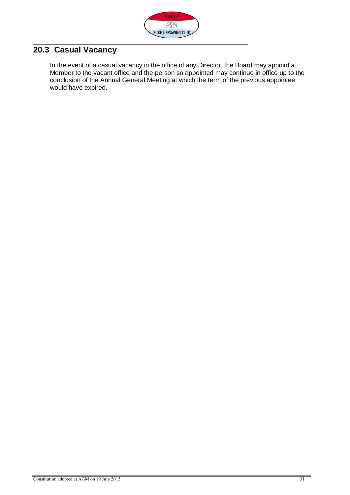

### <span id="page-30-0"></span>**20.3 Casual Vacancy**

In the event of a casual vacancy in the office of any Director, the Board may appoint a Member to the vacant office and the person so appointed may continue in office up to the conclusion of the Annual General Meeting at which the term of the previous appointee would have expired.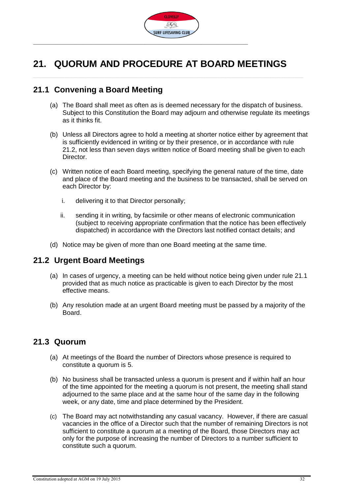

# <span id="page-31-0"></span>**21. QUORUM AND PROCEDURE AT BOARD MEETINGS**

#### <span id="page-31-1"></span>**21.1 Convening a Board Meeting**

- (a) The Board shall meet as often as is deemed necessary for the dispatch of business. Subject to this Constitution the Board may adjourn and otherwise regulate its meetings as it thinks fit.
- (b) Unless all Directors agree to hold a meeting at shorter notice either by agreement that is sufficiently evidenced in writing or by their presence, or in accordance with rule 21.2, not less than seven days written notice of Board meeting shall be given to each Director.
- (c) Written notice of each Board meeting, specifying the general nature of the time, date and place of the Board meeting and the business to be transacted, shall be served on each Director by:
	- i. delivering it to that Director personally;
	- ii. sending it in writing, by facsimile or other means of electronic communication (subject to receiving appropriate confirmation that the notice has been effectively dispatched) in accordance with the Directors last notified contact details; and
- (d) Notice may be given of more than one Board meeting at the same time.

#### <span id="page-31-2"></span>**21.2 Urgent Board Meetings**

- (a) In cases of urgency, a meeting can be held without notice being given under rule 21.1 provided that as much notice as practicable is given to each Director by the most effective means.
- (b) Any resolution made at an urgent Board meeting must be passed by a majority of the Board.

#### <span id="page-31-3"></span>**21.3 Quorum**

- (a) At meetings of the Board the number of Directors whose presence is required to constitute a quorum is 5.
- (b) No business shall be transacted unless a quorum is present and if within half an hour of the time appointed for the meeting a quorum is not present, the meeting shall stand adjourned to the same place and at the same hour of the same day in the following week, or any date, time and place determined by the President.
- (c) The Board may act notwithstanding any casual vacancy. However, if there are casual vacancies in the office of a Director such that the number of remaining Directors is not sufficient to constitute a quorum at a meeting of the Board, those Directors may act only for the purpose of increasing the number of Directors to a number sufficient to constitute such a quorum.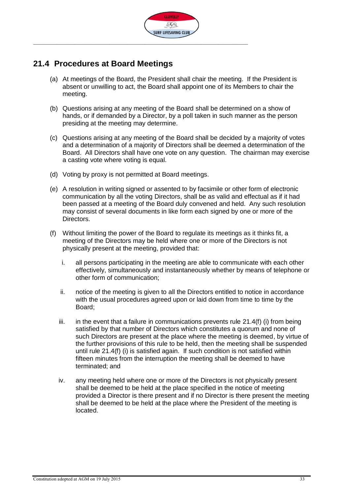

#### <span id="page-32-0"></span>**21.4 Procedures at Board Meetings**

- (a) At meetings of the Board, the President shall chair the meeting. If the President is absent or unwilling to act, the Board shall appoint one of its Members to chair the meeting.
- (b) Questions arising at any meeting of the Board shall be determined on a show of hands, or if demanded by a Director, by a poll taken in such manner as the person presiding at the meeting may determine.
- (c) Questions arising at any meeting of the Board shall be decided by a majority of votes and a determination of a majority of Directors shall be deemed a determination of the Board. All Directors shall have one vote on any question. The chairman may exercise a casting vote where voting is equal.
- (d) Voting by proxy is not permitted at Board meetings.
- (e) A resolution in writing signed or assented to by facsimile or other form of electronic communication by all the voting Directors, shall be as valid and effectual as if it had been passed at a meeting of the Board duly convened and held. Any such resolution may consist of several documents in like form each signed by one or more of the Directors.
- (f) Without limiting the power of the Board to regulate its meetings as it thinks fit, a meeting of the Directors may be held where one or more of the Directors is not physically present at the meeting, provided that:
	- i. all persons participating in the meeting are able to communicate with each other effectively, simultaneously and instantaneously whether by means of telephone or other form of communication;
	- ii. notice of the meeting is given to all the Directors entitled to notice in accordance with the usual procedures agreed upon or laid down from time to time by the Board;
	- iii. in the event that a failure in communications prevents rule  $21.4(f)$  (i) from being satisfied by that number of Directors which constitutes a quorum and none of such Directors are present at the place where the meeting is deemed, by virtue of the further provisions of this rule to be held, then the meeting shall be suspended until rule 21.4(f) (i) is satisfied again. If such condition is not satisfied within fifteen minutes from the interruption the meeting shall be deemed to have terminated; and
	- iv. any meeting held where one or more of the Directors is not physically present shall be deemed to be held at the place specified in the notice of meeting provided a Director is there present and if no Director is there present the meeting shall be deemed to be held at the place where the President of the meeting is located.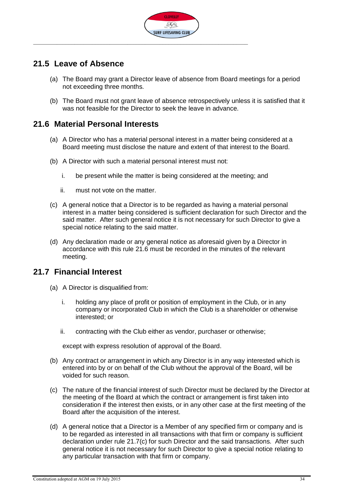

#### <span id="page-33-0"></span>**21.5 Leave of Absence**

- (a) The Board may grant a Director leave of absence from Board meetings for a period not exceeding three months.
- (b) The Board must not grant leave of absence retrospectively unless it is satisfied that it was not feasible for the Director to seek the leave in advance.

#### <span id="page-33-1"></span>**21.6 Material Personal Interests**

- (a) A Director who has a material personal interest in a matter being considered at a Board meeting must disclose the nature and extent of that interest to the Board.
- (b) A Director with such a material personal interest must not:
	- i. be present while the matter is being considered at the meeting; and
	- ii. must not vote on the matter.
- (c) A general notice that a Director is to be regarded as having a material personal interest in a matter being considered is sufficient declaration for such Director and the said matter. After such general notice it is not necessary for such Director to give a special notice relating to the said matter.
- (d) Any declaration made or any general notice as aforesaid given by a Director in accordance with this rule 21.6 must be recorded in the minutes of the relevant meeting.

#### <span id="page-33-2"></span>**21.7 Financial Interest**

- (a) A Director is disqualified from:
	- i. holding any place of profit or position of employment in the Club, or in any company or incorporated Club in which the Club is a shareholder or otherwise interested; or
	- ii. contracting with the Club either as vendor, purchaser or otherwise;

except with express resolution of approval of the Board.

- (b) Any contract or arrangement in which any Director is in any way interested which is entered into by or on behalf of the Club without the approval of the Board, will be voided for such reason.
- <span id="page-33-3"></span>(c) The nature of the financial interest of such Director must be declared by the Director at the meeting of the Board at which the contract or arrangement is first taken into consideration if the interest then exists, or in any other case at the first meeting of the Board after the acquisition of the interest.
- (d) A general notice that a Director is a Member of any specified firm or company and is to be regarded as interested in all transactions with that firm or company is sufficient declaration under rule 21.[7\(c\)](#page-33-3) for such Director and the said transactions. After such general notice it is not necessary for such Director to give a special notice relating to any particular transaction with that firm or company.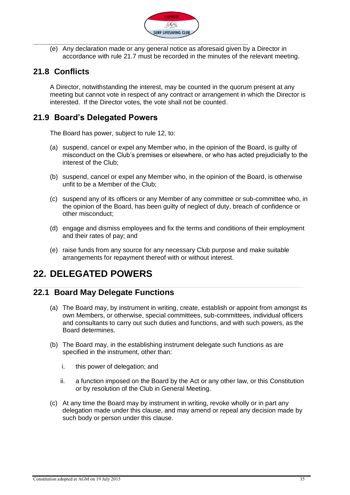

(e) Any declaration made or any general notice as aforesaid given by a Director in accordance with rule 21.7 must be recorded in the minutes of the relevant meeting.

### <span id="page-34-0"></span>**21.8 Conflicts**

A Director, notwithstanding the interest, may be counted in the quorum present at any meeting but cannot vote in respect of any contract or arrangement in which the Director is interested. If the Director votes, the vote shall not be counted.

### <span id="page-34-1"></span>**21.9 Board's Delegated Powers**

The Board has power, subject to rule 12, to:

- (a) suspend, cancel or expel any Member who, in the opinion of the Board, is guilty of misconduct on the Club's premises or elsewhere, or who has acted prejudicially to the interest of the Club;
- (b) suspend, cancel or expel any Member who, in the opinion of the Board, is otherwise unfit to be a Member of the Club;
- (c) suspend any of its officers or any Member of any committee or sub-committee who, in the opinion of the Board, has been guilty of neglect of duty, breach of confidence or other misconduct;
- (d) engage and dismiss employees and fix the terms and conditions of their employment and their rates of pay; and
- (e) raise funds from any source for any necessary Club purpose and make suitable arrangements for repayment thereof with or without interest.

### <span id="page-34-2"></span>**22. DELEGATED POWERS**

#### <span id="page-34-3"></span>**22.1 Board May Delegate Functions**

- (a) The Board may, by instrument in writing, create, establish or appoint from amongst its own Members, or otherwise, special committees, sub-committees, individual officers and consultants to carry out such duties and functions, and with such powers, as the Board determines.
- (b) The Board may, in the establishing instrument delegate such functions as are specified in the instrument, other than:
	- i. this power of delegation; and
	- ii. a function imposed on the Board by the Act or any other law, or this Constitution or by resolution of the Club in General Meeting.
- (c) At any time the Board may by instrument in writing, revoke wholly or in part any delegation made under this clause, and may amend or repeal any decision made by such body or person under this clause.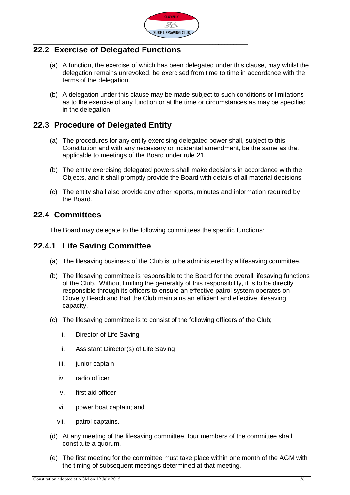

#### <span id="page-35-0"></span>**22.2 Exercise of Delegated Functions**

- (a) A function, the exercise of which has been delegated under this clause, may whilst the delegation remains unrevoked, be exercised from time to time in accordance with the terms of the delegation.
- (b) A delegation under this clause may be made subject to such conditions or limitations as to the exercise of any function or at the time or circumstances as may be specified in the delegation.

### <span id="page-35-1"></span>**22.3 Procedure of Delegated Entity**

- (a) The procedures for any entity exercising delegated power shall, subject to this Constitution and with any necessary or incidental amendment, be the same as that applicable to meetings of the Board under rule 21.
- (b) The entity exercising delegated powers shall make decisions in accordance with the Objects, and it shall promptly provide the Board with details of all material decisions.
- (c) The entity shall also provide any other reports, minutes and information required by the Board.

#### <span id="page-35-2"></span>**22.4 Committees**

The Board may delegate to the following committees the specific functions:

#### <span id="page-35-3"></span>**22.4.1 Life Saving Committee**

- (a) The lifesaving business of the Club is to be administered by a lifesaving committee.
- (b) The lifesaving committee is responsible to the Board for the overall lifesaving functions of the Club. Without limiting the generality of this responsibility, it is to be directly responsible through its officers to ensure an effective patrol system operates on Clovelly Beach and that the Club maintains an efficient and effective lifesaving capacity.
- (c) The lifesaving committee is to consist of the following officers of the Club;
	- i. Director of Life Saving
	- ii. Assistant Director(s) of Life Saving
	- iii. junior captain
	- iv. radio officer
	- v. first aid officer
	- vi. power boat captain; and
	- vii. patrol captains.
- (d) At any meeting of the lifesaving committee, four members of the committee shall constitute a quorum.
- (e) The first meeting for the committee must take place within one month of the AGM with the timing of subsequent meetings determined at that meeting.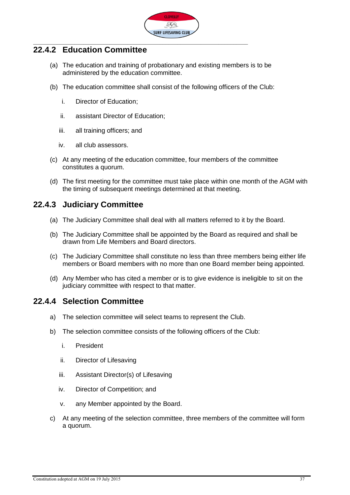

#### <span id="page-36-0"></span>**22.4.2 Education Committee**

- (a) The education and training of probationary and existing members is to be administered by the education committee.
- (b) The education committee shall consist of the following officers of the Club:
	- i. Director of Education;
	- ii. assistant Director of Education;
	- iii. all training officers; and
	- iv. all club assessors.
- (c) At any meeting of the education committee, four members of the committee constitutes a quorum.
- (d) The first meeting for the committee must take place within one month of the AGM with the timing of subsequent meetings determined at that meeting.

#### <span id="page-36-1"></span>**22.4.3 Judiciary Committee**

- (a) The Judiciary Committee shall deal with all matters referred to it by the Board.
- (b) The Judiciary Committee shall be appointed by the Board as required and shall be drawn from Life Members and Board directors.
- (c) The Judiciary Committee shall constitute no less than three members being either life members or Board members with no more than one Board member being appointed.
- (d) Any Member who has cited a member or is to give evidence is ineligible to sit on the judiciary committee with respect to that matter.

#### <span id="page-36-2"></span>**22.4.4 Selection Committee**

- a) The selection committee will select teams to represent the Club.
- b) The selection committee consists of the following officers of the Club:
	- i. President
	- ii. Director of Lifesaving
	- iii. Assistant Director(s) of Lifesaving
	- iv. Director of Competition; and
	- v. any Member appointed by the Board.
- c) At any meeting of the selection committee, three members of the committee will form a quorum.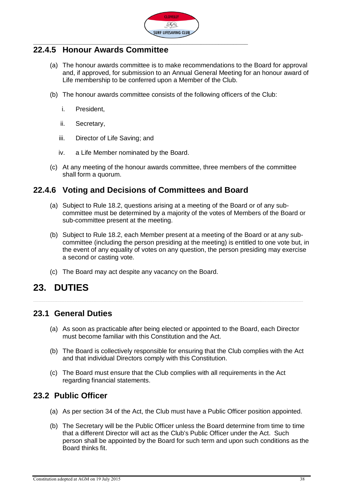

#### <span id="page-37-0"></span>**22.4.5 Honour Awards Committee**

- (a) The honour awards committee is to make recommendations to the Board for approval and, if approved, for submission to an Annual General Meeting for an honour award of Life membership to be conferred upon a Member of the Club.
- (b) The honour awards committee consists of the following officers of the Club:
	- i. President,
	- ii. Secretary,
	- iii. Director of Life Saving; and
	- iv. a Life Member nominated by the Board.
- (c) At any meeting of the honour awards committee, three members of the committee shall form a quorum.

#### <span id="page-37-1"></span>**22.4.6 Voting and Decisions of Committees and Board**

- (a) Subject to Rule 18.2, questions arising at a meeting of the Board or of any subcommittee must be determined by a majority of the votes of Members of the Board or sub-committee present at the meeting.
- (b) Subject to Rule 18.2, each Member present at a meeting of the Board or at any subcommittee (including the person presiding at the meeting) is entitled to one vote but, in the event of any equality of votes on any question, the person presiding may exercise a second or casting vote.
- (c) The Board may act despite any vacancy on the Board.

### <span id="page-37-2"></span>**23. DUTIES**

#### <span id="page-37-3"></span>**23.1 General Duties**

- (a) As soon as practicable after being elected or appointed to the Board, each Director must become familiar with this Constitution and the Act.
- (b) The Board is collectively responsible for ensuring that the Club complies with the Act and that individual Directors comply with this Constitution.
- (c) The Board must ensure that the Club complies with all requirements in the Act regarding financial statements.

#### <span id="page-37-4"></span>**23.2 Public Officer**

- (a) As per section 34 of the Act, the Club must have a Public Officer position appointed.
- (b) The Secretary will be the Public Officer unless the Board determine from time to time that a different Director will act as the Club's Public Officer under the Act. Such person shall be appointed by the Board for such term and upon such conditions as the Board thinks fit.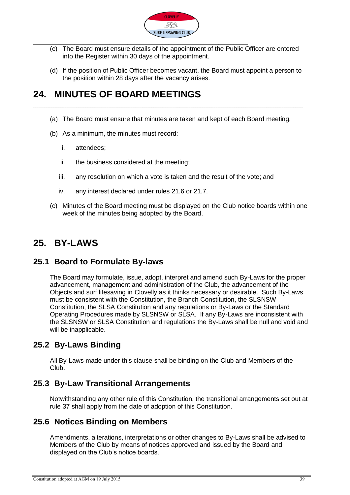

- (c) The Board must ensure details of the appointment of the Public Officer are entered into the Register within 30 days of the appointment.
- (d) If the position of Public Officer becomes vacant, the Board must appoint a person to the position within 28 days after the vacancy arises.

### <span id="page-38-0"></span>**24. MINUTES OF BOARD MEETINGS**

- (a) The Board must ensure that minutes are taken and kept of each Board meeting.
- (b) As a minimum, the minutes must record:
	- i. attendees;
	- ii. the business considered at the meeting;
	- iii. any resolution on which a vote is taken and the result of the vote; and
	- iv. any interest declared under rules 21.6 or 21.7.
- (c) Minutes of the Board meeting must be displayed on the Club notice boards within one week of the minutes being adopted by the Board.

### <span id="page-38-1"></span>**25. BY-LAWS**

#### <span id="page-38-2"></span>**25.1 Board to Formulate By-laws**

The Board may formulate, issue, adopt, interpret and amend such By-Laws for the proper advancement, management and administration of the Club, the advancement of the Objects and surf lifesaving in Clovelly as it thinks necessary or desirable. Such By-Laws must be consistent with the Constitution, the Branch Constitution, the SLSNSW Constitution, the SLSA Constitution and any regulations or By-Laws or the Standard Operating Procedures made by SLSNSW or SLSA. If any By-Laws are inconsistent with the SLSNSW or SLSA Constitution and regulations the By-Laws shall be null and void and will be inapplicable.

#### <span id="page-38-3"></span>**25.2 By-Laws Binding**

All By-Laws made under this clause shall be binding on the Club and Members of the Club.

#### <span id="page-38-4"></span>**25.3 By-Law Transitional Arrangements**

Notwithstanding any other rule of this Constitution, the transitional arrangements set out at rule 37 shall apply from the date of adoption of this Constitution.

#### <span id="page-38-5"></span>**25.6 Notices Binding on Members**

Amendments, alterations, interpretations or other changes to By-Laws shall be advised to Members of the Club by means of notices approved and issued by the Board and displayed on the Club's notice boards.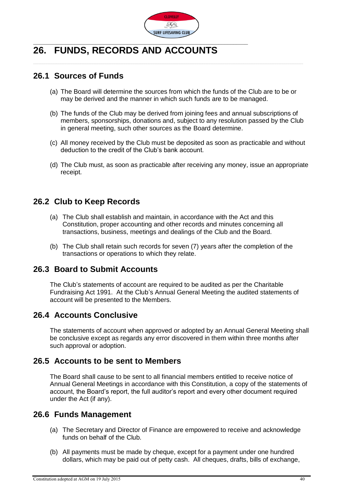

# <span id="page-39-0"></span>**26. FUNDS, RECORDS AND ACCOUNTS**

#### <span id="page-39-1"></span>**26.1 Sources of Funds**

- (a) The Board will determine the sources from which the funds of the Club are to be or may be derived and the manner in which such funds are to be managed.
- (b) The funds of the Club may be derived from joining fees and annual subscriptions of members, sponsorships, donations and, subject to any resolution passed by the Club in general meeting, such other sources as the Board determine.
- (c) All money received by the Club must be deposited as soon as practicable and without deduction to the credit of the Club's bank account.
- (d) The Club must, as soon as practicable after receiving any money, issue an appropriate receipt.

#### <span id="page-39-2"></span>**26.2 Club to Keep Records**

- (a) The Club shall establish and maintain, in accordance with the Act and this Constitution, proper accounting and other records and minutes concerning all transactions, business, meetings and dealings of the Club and the Board.
- (b) The Club shall retain such records for seven (7) years after the completion of the transactions or operations to which they relate.

#### <span id="page-39-3"></span>**26.3 Board to Submit Accounts**

The Club's statements of account are required to be audited as per the Charitable Fundraising Act 1991. At the Club's Annual General Meeting the audited statements of account will be presented to the Members.

#### <span id="page-39-4"></span>**26.4 Accounts Conclusive**

The statements of account when approved or adopted by an Annual General Meeting shall be conclusive except as regards any error discovered in them within three months after such approval or adoption.

#### <span id="page-39-5"></span>**26.5 Accounts to be sent to Members**

The Board shall cause to be sent to all financial members entitled to receive notice of Annual General Meetings in accordance with this Constitution, a copy of the statements of account, the Board's report, the full auditor's report and every other document required under the Act (if any).

#### <span id="page-39-6"></span>**26.6 Funds Management**

- (a) The Secretary and Director of Finance are empowered to receive and acknowledge funds on behalf of the Club.
- (b) All payments must be made by cheque, except for a payment under one hundred dollars, which may be paid out of petty cash. All cheques, drafts, bills of exchange,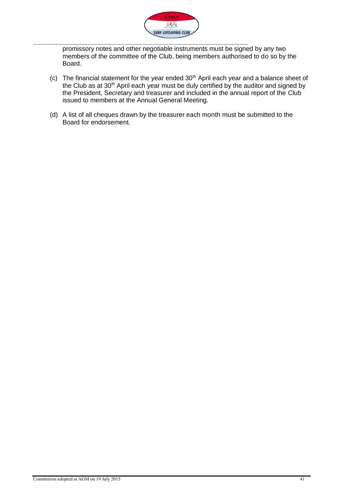

promissory notes and other negotiable instruments must be signed by any two members of the committee of the Club, being members authorised to do so by the Board.

- (c) The financial statement for the year ended  $30<sup>th</sup>$  April each year and a balance sheet of the Club as at 30<sup>th</sup> April each year must be duly certified by the auditor and signed by the President, Secretary and treasurer and included in the annual report of the Club issued to members at the Annual General Meeting.
- (d) A list of all cheques drawn by the treasurer each month must be submitted to the Board for endorsement.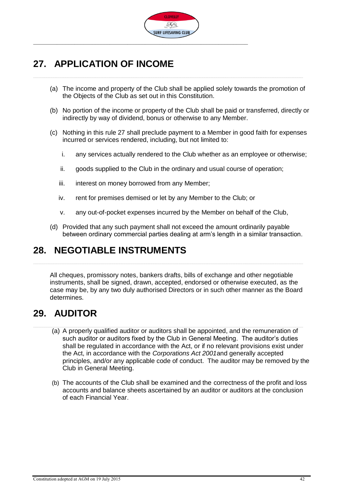

### <span id="page-41-0"></span>**27. APPLICATION OF INCOME**

- (a) The income and property of the Club shall be applied solely towards the promotion of the Objects of the Club as set out in this Constitution.
- (b) No portion of the income or property of the Club shall be paid or transferred, directly or indirectly by way of dividend, bonus or otherwise to any Member.
- (c) Nothing in this rule 27 shall preclude payment to a Member in good faith for expenses incurred or services rendered, including, but not limited to:
	- i. any services actually rendered to the Club whether as an employee or otherwise;
	- ii. goods supplied to the Club in the ordinary and usual course of operation;
	- iii. interest on money borrowed from any Member;
	- iv. rent for premises demised or let by any Member to the Club; or
	- v. any out-of-pocket expenses incurred by the Member on behalf of the Club,
- (d) Provided that any such payment shall not exceed the amount ordinarily payable between ordinary commercial parties dealing at arm's length in a similar transaction.

### <span id="page-41-1"></span>**28. NEGOTIABLE INSTRUMENTS**

All cheques, promissory notes, bankers drafts, bills of exchange and other negotiable instruments, shall be signed, drawn, accepted, endorsed or otherwise executed, as the case may be, by any two duly authorised Directors or in such other manner as the Board determines.

### <span id="page-41-2"></span>**29. AUDITOR**

- (a) A properly qualified auditor or auditors shall be appointed, and the remuneration of such auditor or auditors fixed by the Club in General Meeting. The auditor's duties shall be regulated in accordance with the Act, or if no relevant provisions exist under the Act, in accordance with the *Corporations Act 2001*and generally accepted principles, and/or any applicable code of conduct. The auditor may be removed by the Club in General Meeting.
- (b) The accounts of the Club shall be examined and the correctness of the profit and loss accounts and balance sheets ascertained by an auditor or auditors at the conclusion of each Financial Year.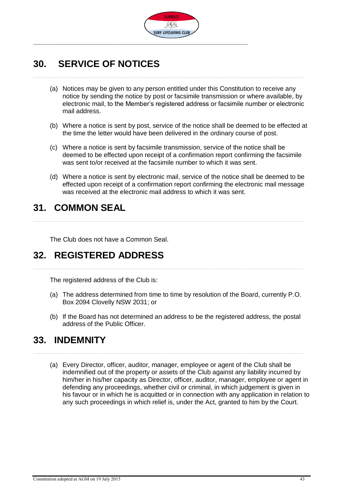

### <span id="page-42-0"></span>**30. SERVICE OF NOTICES**

- (a) Notices may be given to any person entitled under this Constitution to receive any notice by sending the notice by post or facsimile transmission or where available, by electronic mail, to the Member's registered address or facsimile number or electronic mail address.
- (b) Where a notice is sent by post, service of the notice shall be deemed to be effected at the time the letter would have been delivered in the ordinary course of post.
- (c) Where a notice is sent by facsimile transmission, service of the notice shall be deemed to be effected upon receipt of a confirmation report confirming the facsimile was sent to/or received at the facsimile number to which it was sent.
- (d) Where a notice is sent by electronic mail, service of the notice shall be deemed to be effected upon receipt of a confirmation report confirming the electronic mail message was received at the electronic mail address to which it was sent.

### <span id="page-42-1"></span>**31. COMMON SEAL**

The Club does not have a Common Seal.

### <span id="page-42-2"></span>**32. REGISTERED ADDRESS**

The registered address of the Club is:

- (a) The address determined from time to time by resolution of the Board, currently P.O. Box 2094 Clovelly NSW 2031; or
- (b) If the Board has not determined an address to be the registered address, the postal address of the Public Officer.

### <span id="page-42-3"></span>**33. INDEMNITY**

(a) Every Director, officer, auditor, manager, employee or agent of the Club shall be indemnified out of the property or assets of the Club against any liability incurred by him/her in his/her capacity as Director, officer, auditor, manager, employee or agent in defending any proceedings, whether civil or criminal, in which judgement is given in his favour or in which he is acquitted or in connection with any application in relation to any such proceedings in which relief is, under the Act, granted to him by the Court.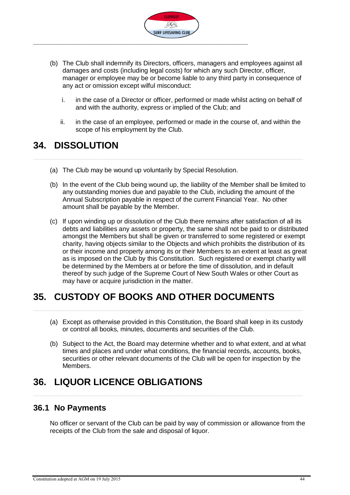

- (b) The Club shall indemnify its Directors, officers, managers and employees against all damages and costs (including legal costs) for which any such Director, officer, manager or employee may be or become liable to any third party in consequence of any act or omission except wilful misconduct:
	- i. in the case of a Director or officer, performed or made whilst acting on behalf of and with the authority, express or implied of the Club; and
	- ii. in the case of an employee, performed or made in the course of, and within the scope of his employment by the Club.

### <span id="page-43-0"></span>**34. DISSOLUTION**

- (a) The Club may be wound up voluntarily by Special Resolution.
- (b) In the event of the Club being wound up, the liability of the Member shall be limited to any outstanding monies due and payable to the Club, including the amount of the Annual Subscription payable in respect of the current Financial Year. No other amount shall be payable by the Member.
- (c) If upon winding up or dissolution of the Club there remains after satisfaction of all its debts and liabilities any assets or property, the same shall not be paid to or distributed amongst the Members but shall be given or transferred to some registered or exempt charity, having objects similar to the Objects and which prohibits the distribution of its or their income and property among its or their Members to an extent at least as great as is imposed on the Club by this Constitution. Such registered or exempt charity will be determined by the Members at or before the time of dissolution, and in default thereof by such judge of the Supreme Court of New South Wales or other Court as may have or acquire jurisdiction in the matter.

### <span id="page-43-1"></span>**35. CUSTODY OF BOOKS AND OTHER DOCUMENTS**

- (a) Except as otherwise provided in this Constitution, the Board shall keep in its custody or control all books, minutes, documents and securities of the Club.
- (b) Subject to the Act, the Board may determine whether and to what extent, and at what times and places and under what conditions, the financial records, accounts, books, securities or other relevant documents of the Club will be open for inspection by the Members.

# <span id="page-43-2"></span>**36. LIQUOR LICENCE OBLIGATIONS**

#### <span id="page-43-3"></span>**36.1 No Payments**

No officer or servant of the Club can be paid by way of commission or allowance from the receipts of the Club from the sale and disposal of liquor.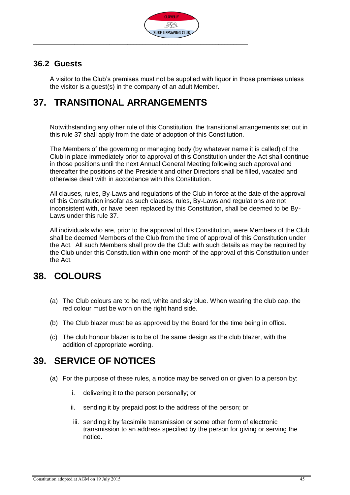

#### <span id="page-44-0"></span>**36.2 Guests**

A visitor to the Club's premises must not be supplied with liquor in those premises unless the visitor is a guest(s) in the company of an adult Member.

### <span id="page-44-1"></span>**37. TRANSITIONAL ARRANGEMENTS**

Notwithstanding any other rule of this Constitution, the transitional arrangements set out in this rule 37 shall apply from the date of adoption of this Constitution.

The Members of the governing or managing body (by whatever name it is called) of the Club in place immediately prior to approval of this Constitution under the Act shall continue in those positions until the next Annual General Meeting following such approval and thereafter the positions of the President and other Directors shall be filled, vacated and otherwise dealt with in accordance with this Constitution.

All clauses, rules, By-Laws and regulations of the Club in force at the date of the approval of this Constitution insofar as such clauses, rules, By-Laws and regulations are not inconsistent with, or have been replaced by this Constitution, shall be deemed to be By-Laws under this rule 37.

All individuals who are, prior to the approval of this Constitution, were Members of the Club shall be deemed Members of the Club from the time of approval of this Constitution under the Act. All such Members shall provide the Club with such details as may be required by the Club under this Constitution within one month of the approval of this Constitution under the Act.

### <span id="page-44-2"></span>**38. COLOURS**

- (a) The Club colours are to be red, white and sky blue. When wearing the club cap, the red colour must be worn on the right hand side.
- (b) The Club blazer must be as approved by the Board for the time being in office.
- (c) The club honour blazer is to be of the same design as the club blazer, with the addition of appropriate wording.

### <span id="page-44-3"></span>**39. SERVICE OF NOTICES**

- (a) For the purpose of these rules, a notice may be served on or given to a person by:
	- i. delivering it to the person personally; or
	- ii. sending it by prepaid post to the address of the person; or
	- iii. sending it by facsimile transmission or some other form of electronic transmission to an address specified by the person for giving or serving the notice.